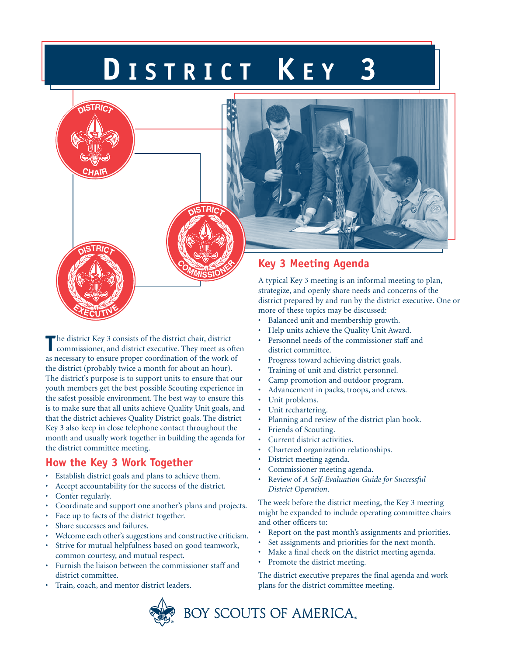# **D i s t r i c t K e y 3**

OISTRIC:



**OISTRIC** 

**T** he district Key 3 consists of the district chair, district commissioner, and district executive. They meet as often as necessary to ensure proper coordination of the work of the district (probably twice a month for about an hour). The district's purpose is to support units to ensure that our youth members get the best possible Scouting experience in the safest possible environment. The best way to ensure this is to make sure that all units achieve Quality Unit goals, and that the district achieves Quality District goals. The district Key 3 also keep in close telephone contact throughout the month and usually work together in building the agenda for the district committee meeting.

## **How the Key 3 Work Together**

- Establish district goals and plans to achieve them.
- Accept accountability for the success of the district.
- Confer regularly.
- Coordinate and support one another's plans and projects.
- Face up to facts of the district together.
- Share successes and failures.
- Welcome each other's suggestions and constructive criticism.
- Strive for mutual helpfulness based on good teamwork, common courtesy, and mutual respect.
- Furnish the liaison between the commissioner staff and district committee.
- Train, coach, and mentor district leaders.

# **Key 3 Meeting Agenda**

A typical Key 3 meeting is an informal meeting to plan, strategize, and openly share needs and concerns of the district prepared by and run by the district executive. One or more of these topics may be discussed:

- • Balanced unit and membership growth.
- Help units achieve the Quality Unit Award.
- Personnel needs of the commissioner staff and district committee.
- • Progress toward achieving district goals.
- Training of unit and district personnel.
- Camp promotion and outdoor program.
- • Advancement in packs, troops, and crews.
- Unit problems.
- Unit rechartering.
- Planning and review of the district plan book.
- Friends of Scouting.
- Current district activities.
- Chartered organization relationships.
- District meeting agenda.
- • Commissioner meeting agenda.
- **Review of A Self-Evaluation Guide for Successful** *District Operation*.

The week before the district meeting, the Key 3 meeting might be expanded to include operating committee chairs and other officers to:

- Report on the past month's assignments and priorities.
- Set assignments and priorities for the next month.
- Make a final check on the district meeting agenda.
- Promote the district meeting.

The district executive prepares the final agenda and work plans for the district committee meeting.

DY SCOUTS OF AMERICA.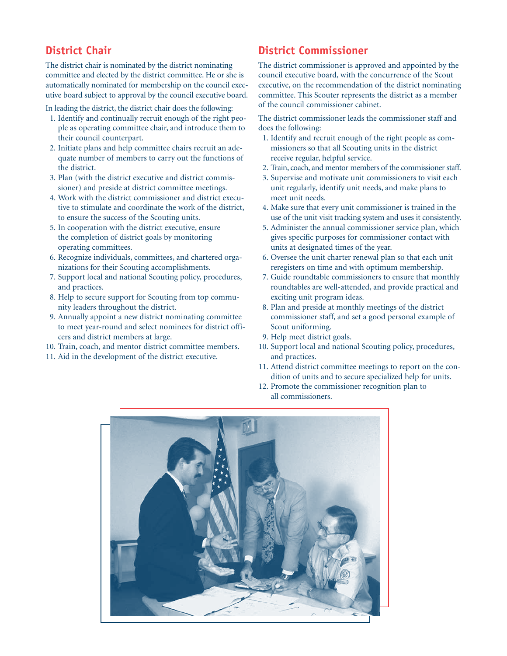# **District Chair**

The district chair is nominated by the district nominating committee and elected by the district committee. He or she is automatically nominated for membership on the council executive board subject to approval by the council executive board.

In leading the district, the district chair does the following:

- 1. Identify and continually recruit enough of the right people as operating committee chair, and introduce them to their council counterpart.
- 2. Initiate plans and help committee chairs recruit an adequate number of members to carry out the functions of the district.
- 3. Plan (with the district executive and district commissioner) and preside at district committee meetings.
- 4. Work with the district commissioner and district executive to stimulate and coordinate the work of the district, to ensure the success of the Scouting units.
- 5. In cooperation with the district executive, ensure the completion of district goals by monitoring operating committees.
- 6. Recognize individuals, committees, and chartered organizations for their Scouting accomplishments.
- 7. Support local and national Scouting policy, procedures, and practices.
- 8. Help to secure support for Scouting from top community leaders throughout the district.
- 9. Annually appoint a new district nominating committee to meet year-round and select nominees for district officers and district members at large.
- 10. Train, coach, and mentor district committee members.
- 11. Aid in the development of the district executive.

### **District Commissioner**

The district commissioner is approved and appointed by the council executive board, with the concurrence of the Scout executive, on the recommendation of the district nominating committee. This Scouter represents the district as a member of the council commissioner cabinet.

The district commissioner leads the commissioner staff and does the following:

- 1. Identify and recruit enough of the right people as commissioners so that all Scouting units in the district receive regular, helpful service.
- 2. Train, coach, and mentor members of the commissioner staff.
- 3. Supervise and motivate unit commissioners to visit each unit regularly, identify unit needs, and make plans to meet unit needs.
- 4. Make sure that every unit commissioner is trained in the use of the unit visit tracking system and uses it consistently.
- 5. Administer the annual commissioner service plan, which gives specific purposes for commissioner contact with units at designated times of the year.
- 6. Oversee the unit charter renewal plan so that each unit reregisters on time and with optimum membership.
- 7. Guide roundtable commissioners to ensure that monthly roundtables are well-attended, and provide practical and exciting unit program ideas.
- 8. Plan and preside at monthly meetings of the district commissioner staff, and set a good personal example of Scout uniforming.
- 9. Help meet district goals.
- 10. Support local and national Scouting policy, procedures, and practices.
- 11. Attend district committee meetings to report on the condition of units and to secure specialized help for units.
- 12. Promote the commissioner recognition plan to all commissioners.

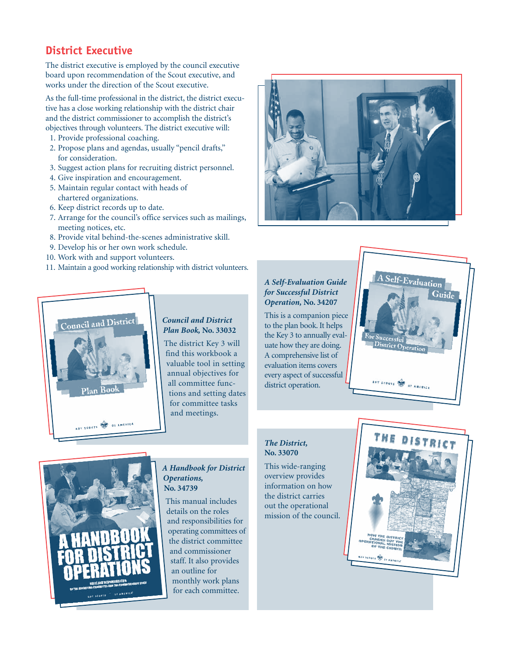# **District Executive**

The district executive is employed by the council executive board upon recommendation of the Scout executive, and works under the direction of the Scout executive.

As the full-time professional in the district, the district executive has a close working relationship with the district chair and the district commissioner to accomplish the district's objectives through volunteers. The district executive will:

- 1. Provide professional coaching.
- 2. Propose plans and agendas, usually "pencil drafts," for consideration.
- 3. Suggest action plans for recruiting district personnel.
- 4. Give inspiration and encouragement.
- 5. Maintain regular contact with heads of chartered organizations.
- 6. Keep district records up to date.
- 7. Arrange for the council's office services such as mailings, meeting notices, etc.
- 8. Provide vital behind-the-scenes administrative skill.
- 9. Develop his or her own work schedule.
- 10. Work with and support volunteers.
- 11. Maintain a good working relationship with district volunteers.



#### *Council and District Plan Book,* **No. 33032**

The district Key 3 will find this workbook a valuable tool in setting annual objectives for all committee functions and setting dates for committee tasks and meetings.



#### *A Self-Evaluation Guide for Successful District Operation,* **No. 34207**

This is a companion piece to the plan book. It helps the Key 3 to annually evaluate how they are doing. A comprehensive list of evaluation items covers every aspect of successful district operation.



#### *The District,*  **No. 33070**

This wide-ranging overview provides information on how the district carries out the operational mission of the council.





#### *A Handbook for District Operations,* **No. 34739**

This manual includes details on the roles and responsibilities for operating committees of the district committee and commissioner staff. It also provides an outline for monthly work plans for each committee.